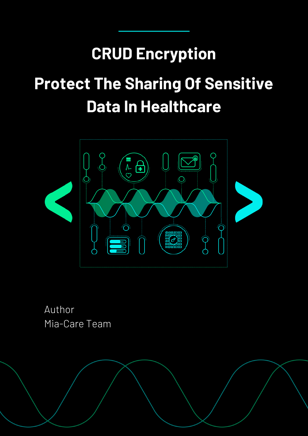## **CRUD Encryption**

# **Protect The Sharing Of Sensitive Data In Healthcare**



Author Mia-Care Team

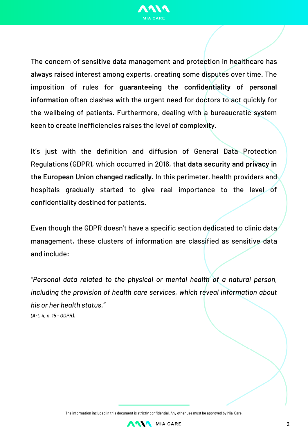

The concern of sensitive data management and protection in healthcare has always raised interest among experts, creating some disputes over time. The imposition of rules for **guaranteeing the confidentiality of personal information** often clashes with the urgent need for doctors to act quickly for the wellbeing of patients. Furthermore, dealing with a bureaucratic system keen to create inefficiencies raises the level of complexity.

It's just with the definition and diffusion of General Data Protection Regulations (GDPR), which occurred in 2016, that **data security and privacy in the European Union changed radically.** In this perimeter, health providers and hospitals gradually started to give real importance to the level of confidentiality destined for patients.

Even though the GDPR doesn't have a specific section dedicated to clinic data management, these clusters of information are classified as sensitive data and include:

*"Personal data related to the physical or mental health of a natural person, including the provision of health care services, which reveal information about his or her health status." (Art. 4, n. 15 - GDPR).*

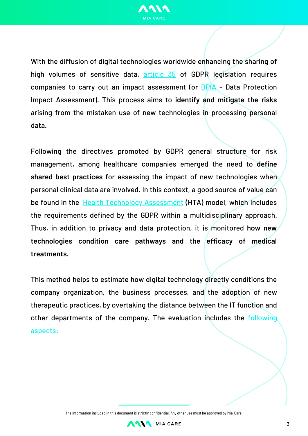

With the diffusion of digital technologies worldwide enhancing the sharing of high volumes of sensitive data, [article](https://gdpr-info.eu/art-35-gdpr/) 35 of GDPR legislation requires companies to carry out an impact assessment (or [DPIA](https://gdpr.eu/data-protection-impact-assessment-template/) - Data Protection Impact Assessment). This process aims to **identify and mitigate the risks** arising from the mistaken use of new technologies in processing personal data.

Following the directives promoted by GDPR general structure for risk management, among healthcare companies emerged the need to **define shared best practices** for assessing the impact of new technologies when personal clinical data are involved. In this context, a good source of value can be found in the **Health Technology [Assessment](https://www.salute.gov.it/portale/temi/p2_6.jsp?id=5199&area=dispositivi-medici&menu=tecnologie)** (HTA) model, which includes the requirements defined by the GDPR within a multidisciplinary approach. Thus, in addition to privacy and data protection, it is monitored **how new technologies condition care pathways and the efficacy of medical treatments.**

This method helps to estimate how digital technology directly conditions the company organization, the business processes, and the adoption of new therapeutic practices, by overtaking the distance between the IT function and other [departments](https://www.riskcompliance.it/news/gli-aspetti-peculiari-di-una-dpia-in-ambito-sanitario/) of the company. The evaluation includes the following aspects:

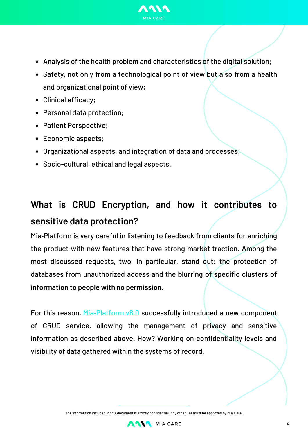

- Analysis of the health problem and characteristics of the digital solution;
- Safety, not only from a technological point of view but also from a health and organizational point of view;
- Clinical efficacy;
- Personal data protection;
- Patient Perspective;
- Economic aspects;
- Organizational aspects, and integration of data and processes;
- Socio-cultural, ethical and legal aspects.

## **What is CRUD Encryption, and how it contributes to sensitive data protection?**

Mia‑Platform is very careful in listening to feedback from clients for enriching the product with new features that have strong market traction. Among the most discussed requests, two, in particular, stand out: the protection of databases from unauthorized access and the **blurring of specific clusters of information to people with no permission.**

For this reason, Mia-[Platform](https://blog.mia-platform.eu/en/facilitate-the-development-experience-with-mia-platform-v8.0) v8.0 successfully introduced a new component of CRUD service, allowing the management of privacy and sensitive information as described above. How? Working on confidentiality levels and visibility of data gathered within the systems of record.

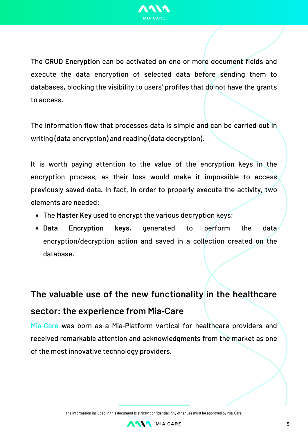

The **CRUD Encryption** can be activated on one or more document fields and execute the data encryption of selected data before sending them to databases, blocking the visibility to users' profiles that do not have the grants to access.

The information flow that processes data is simple and can be carried out in writing (data encryption) and reading (data decryption).

It is worth paying attention to the value of the encryption keys in the encryption process, as their loss would make it impossible to access previously saved data. In fact, in order to properly execute the activity, two elements are needed:

- The **Master Key** used to encrypt the various decryption keys;
- **Data Encryption keys**, generated to perform the data encryption/decryption action and saved in a collection created on the database.

## **The valuable use of the new functionality in the healthcare sector: the experience from Mia‑Care**

Mia-[Care](http://www.mia-care.io/) was born as a Mia-Platform vertical for healthcare providers and received remarkable attention and acknowledgments from the market as one of the most innovative technology providers.

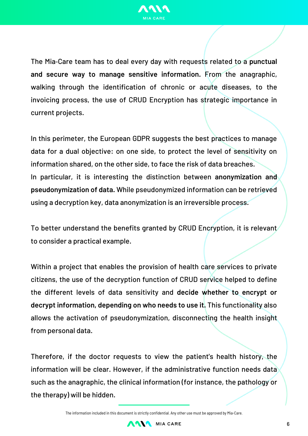

The Mia‑Care team has to deal every day with requests related to a **punctual and secure way to manage sensitive information.** From the anagraphic, walking through the identification of chronic or acute diseases, to the invoicing process, the use of CRUD Encryption has strategic importance in current projects.

In this perimeter, the European GDPR suggests the best practices to manage data for a dual objective: on one side, to protect the level of sensitivity on information shared, on the other side, to face the risk of data breaches. In particular, it is interesting the distinction between **anonymization and pseudonymization of data.** While pseudonymized information can be retrieved using a decryption key, data anonymization is an irreversible process.

To better understand the benefits granted by CRUD Encryption, it is relevant to consider a practical example.

Within a project that enables the provision of health care services to private citizens, the use of the decryption function of CRUD service helped to define the different levels of data sensitivity and **decide whether to encrypt or decrypt information, depending on who needs to use it.** This functionality also allows the activation of pseudonymization, disconnecting the health insight from personal data.

Therefore, if the doctor requests to view the patient's health history, the information will be clear. However, if the administrative function needs data such as the anagraphic, the clinical information (for instance, the pathology or the therapy) will be hidden.